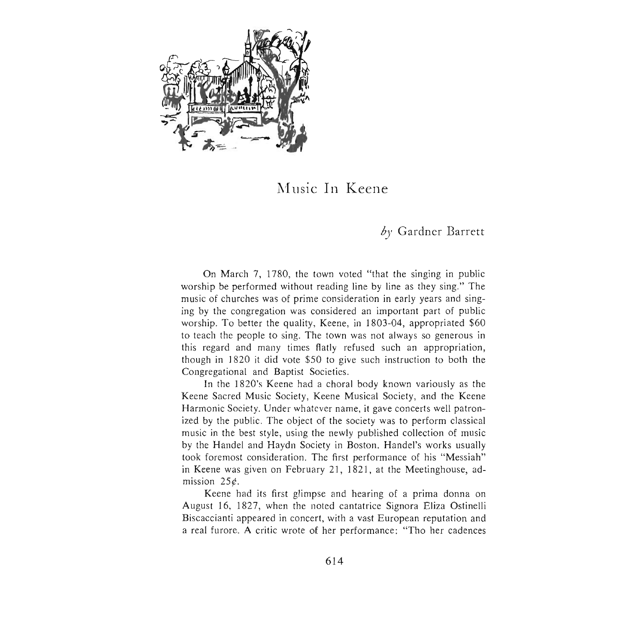

## Music In Keene

## by Gardner Barrett

On March 7, 1780, the town voted "that the singing in public worship be performed without reading line by line as they sing ." The music of churches was of prime consideration in early years and singing by the congregation was considered an important part of public worship. To better the quality, Keene, in 1803-04, appropriated \$60 to teach the people to sing . The town was not always so generous in this regard and many times flatly refused such an appropriation, though in 1820 it did vote \$50 to give such instruction to both the Congregational and Baptist Societies.

In the 1820's Keene had a choral body known variously as the Keene Sacred Music Society, Keene Musical Society, and the Keene Harmonic Society. Under whatever name, it gave concerts well patronized by the public. The object of the society was to perform classical music in the best style, using the newly published collection of music by the Handel and Haydn Society in Boston. Handel's works usually took foremost consideration. The first performance of his "Messiah" in Keene was given on February 21,1821, at the Meetinghouse, admission 25¢.

Keene had its first glimpse and hearing of a prima donna on August 16, 1827, when the noted cantatrice Signora Eliza Ostinelli Biscaccianti appeared in concert, with a vast European reputation and a real furore. A critic wrote of her performance: "Tho her cadences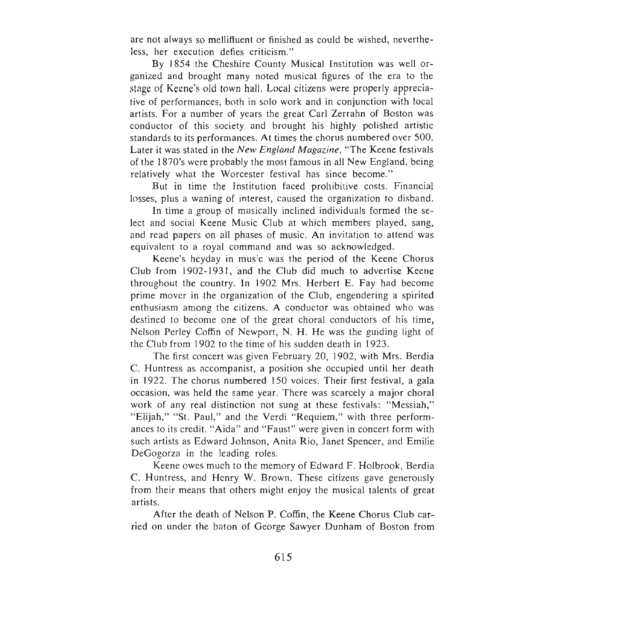are not always so mellifluent or finished as could be wished, nevertheless, her execution defies criticism. "

By 1854 the Cheshire County Musical Institution was well organized and brought many noted musical figures of the era to the stage of Keene's old town hall. Local citizens were properly appreciative of performances, both in solo work and in conjunction with local artists. For a number of years the great Carl Zerrahn of Boston was conductor of this society and brought his highly polished artistic standards to its performances. At times the chorus numbered over 500. Later it was stated in the *New England Magazine*, "The Keene festivals of the 1870's were probably the most famous in all New England, being relatively what the Worcester festival has since become."

But in time the Institution faced prohibitive costs. Financial losses, plus a waning of interest, caused the organization to disband.

In time a group of musically inclined individuals formed the select and social Keene Music Club at which members played, sang, and read papers on all phases of music. An invitation to attend was equivalent to a royal command and was so acknowledged.

Keene's heyday in music was the period of the Keene Chorus Club from 1902-1931, and the Club did much to advertise Keene throughout the country. In 1902 Mrs. Herbert E. Fay had become prime mover in the organization of the Club, engendering a spirited enthusiasm among the citizens. A conductor was obtained who was destined to become one of the great choral conductors of his time, Nelson Perley Coffin of Newport, N. H. He was the guiding light of the Club from 1902 to the time of his sudden death in 1923.

The first concert was given February 20, 1902, with Mrs. Berdia C. Huntress as accompanist, a position she occupied until her death in 1922. The chorus numbered 150 voices. Their first festival, a gala occasion, was held the same year. There was scarcely a major choral work of any real distinction not sung at these festivals: "Messiah," "Elijah," "St. Paul," and the Verdi "Requiem," with three performances to its credit. "Aida" and "Faust" were given in concert form with such artists as Edward Johnson, Anita Rio, Janet Spencer, and Emilie DeGogorza in the leading roles.

Keene owes much to the memory of Edward F. Holbrook, Berdia C. Huntress, and Henry W. Brown. These citizens gave generously from their means that others might enjoy the musical talents of great artists.

After the death of Nelson P. Coffin, the Keene Chorus Club carried on under the baton of George Sawyer Dunham of Boston from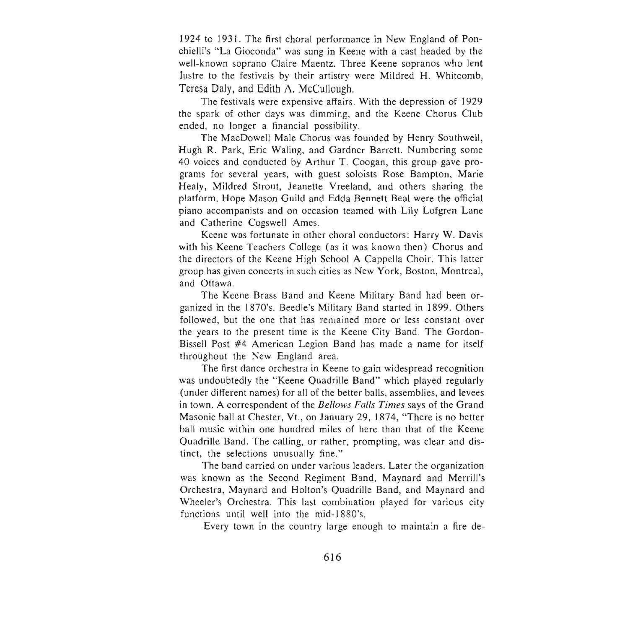1924 to 1931. The first choral performance in New England of Ponchielli's "La Gioconda" was sung in Keene with a cast headed by the well-known soprano Claire Maentz. Three Keene sopranos who lent lustre to the festivals by their artistry were Mildred H. Whitcomb, Teresa Daly, and Edith A. McCullough.

The festivals were expensive affairs. With the depression of 1929 the spark of other days was dimming, and the Keene Chorus Club ended, no longer a financial possibility.

The MacDowell Male Chorus was founded by Henry Southwell, Hugh R. Park, Eric Waling, and Gardner Barrett. Numbering some 40 voices and conducted by Arthur T. Coogan, this group gave programs for several years, with guest soloists Rose Bampton, Marie Healy, Mildred Strout, Jeanette Vreeland, and others sharing the platform. Hope Mason Guild and Edda Bennett Beal were the official piano accompanists and on occasion teamed with Lily Lofgren Lane and Catherine Cogswell Ames.

Keene was fortunate in other choral conductors: Harry W. Davis with his Keene Teachers College (as it was known then) Chorus and the directors of the Keene High School A Cappella Choir. This latter group has given concerts in such cities as New York, Boston, Montreal, and Ottawa.

The Keene Brass Band and Keene Military Band had been organized in the 1870's. Beedle's Military Band started in 1899. Others followed, but the one that has remained more or less constant over the years to the present time is the Keene City Band. The Gordon-Bissell Post #4 American Legion Band has made a name for itself throughout the New England area.

The first dance orchestra in Keene to gain widespread recognition was undoubtedly the "Keene Quadrille Band" which played regularly (under different names) for all of the better balls, assemblies, and levees in town. A correspondent of the *Bellows Falls Times* says of the Grand Masonic ball at Chester, Vt., on January 29, 1874, "There is no better ball music within one hundred miles of here than that of the Keene Quadrille Band. The calling, or rather, prompting, was clear and distinct, the selections unusually fine."

The band carried on under various leaders. Later the organization was known as the Second Regiment Band, Maynard and Merrill's Orchestra, Maynard and Holton's Quadrille Band, and Maynard and Wheeler's Orchestra. This last combination played for various city functions until well into the mid-1880's.

Every town in the country large enough to maintain a fire de-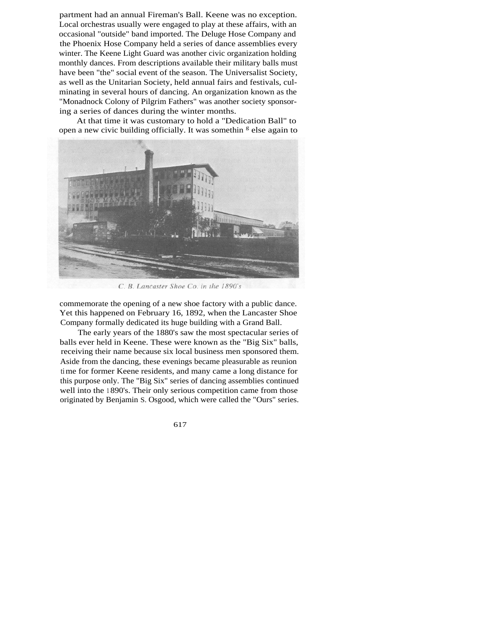partment had an annual Fireman's Ball. Keene was no exception. Local orchestras usually were engaged to play at these affairs, with an occasional "outside" band imported. The Deluge Hose Company and the Phoenix Hose Company held a series of dance assemblies every winter. The Keene Light Guard was another civic organization holding monthly dances. From descriptions available their military balls must have been "the" social event of the season. The Universalist Society, as well as the Unitarian Society, held annual fairs and festivals, culminating in several hours of dancing. An organization known as the "Monadnock Colony of Pilgrim Fathers" was another society sponsoring a series of dances during the winter months.

At that time it was customary to hold a "Dedication Ball" to open a new civic building officially. It was somethin <sup>g</sup> else again to



C. B. Lancaster Shoe Co. in the 1890's

commemorate the opening of a new shoe factory with a public dance. Yet this happened on February 16, 1892, when the Lancaster Shoe Company formally dedicated its huge building with a Grand Ball.

The early years of the 1880's saw the most spectacular series of balls ever held in Keene. These were known as the "Big Six" balls, receiving their name because six local business men sponsored them. Aside from the dancing, these evenings became pleasurable as reunion ti me for former Keene residents, and many came a long distance for this purpose only. The "Big Six" series of dancing assemblies continued well into the 1 890's. Their only serious competition came from those originated by Benjamin S. Osgood, which were called the "Ours" series.

617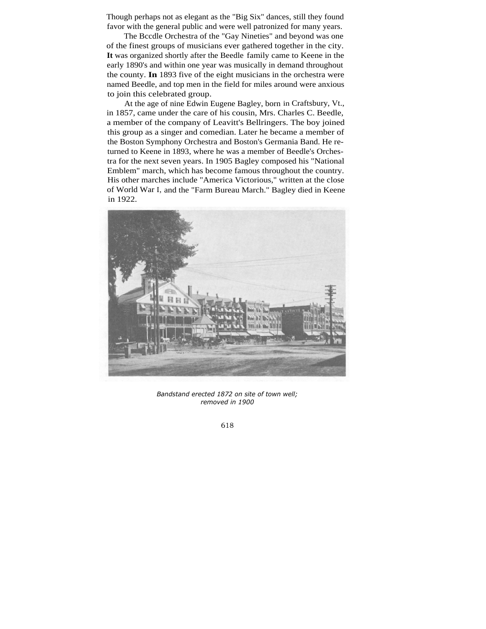Though perhaps not as elegant as the "Big Six" dances, still they found favor with the general public and were well patronized for many years.

The Bccdle Orchestra of the "Gay Nineties" and beyond was one of the finest groups of musicians ever gathered together in the city. **It** was organized shortly after the Beedle family came to Keene in the early 1890's and within one year was musically in demand throughout the county. **In** 1893 five of the eight musicians in the orchestra were named Beedle, and top men in the field for miles around were anxious to join this celebrated group.

At the age of nine Edwin Eugene Bagley, born in Craftsbury, Vt., in 1857, came under the care of his cousin, Mrs. Charles C. Beedle, a member of the company of Leavitt's Bellringers. The boy joined this group as a singer and comedian. Later he became a member of the Boston Symphony Orchestra and Boston's Germania Band. He returned to Keene in 1893, where he was a member of Beedle's Orchestra for the next seven years. In 1905 Bagley composed his "National Emblem" march, which has become famous throughout the country. His other marches include "America Victorious," written at the close of World War I, and the "Farm Bureau March." Bagley died in Keene in 1922.



*Bandstand erected 1872 on site of town well; removed in 1900*

618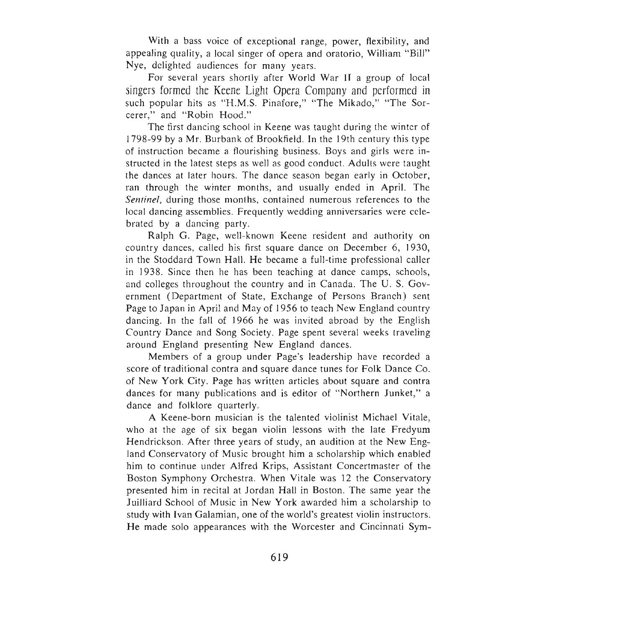With a bass voice of exceptional range, power, flexibility, and appealing quality, a local singer of opera and oratorio, William "Bill" Nye, delighted audiences for many years.

For several years shortly after World War II a group of local singers formed the Keene Light Opera Company and performed in such popular hits as "H.M.S. Pinafore," "The Mikado," "The Sorcerer," and "Robin Hood."

The first dancing school in Keene was taught during the winter of 1798-99 by a Mr. Burbank of Brookfield. **In** the 19th century this typ e of instruction became a flourishing business. Boys and girls were instructed in the latest steps as well as good conduct. Adults were taught the dances at later hours. The dance season began early in October, ran through the winter months, and usually ended in April. The *Sentinel*, during those months, contained numerous references to the local dancing assemblies. Frequently wedding anniversaries were celebrated by a dancing party.

Ralph G. Page, well-known Keene resident and authority on country dances, called his first square dance on December 6, 1930, in the Stoddard Town Hall. He became a full-time professional caller in 1938. Since then he has been teaching at dance camps, schools, and colleges throughout the country and in Canada. The U. S. Government (Department of State, Exchange of Persons Branch) sent Page to Japan in April and May of 1956 to teach New England country dancing. In the fall of 1966 he was invited abroad by the English Country Dance and Song Society. Page spent several weeks traveling around England presenting New England dances.

Members of a group under Page's leadership have recorded a score of traditional contra and square dance tunes for Folk Dance Co. of New Yark City. Page has written articles about square and contra dances for many publications and is editor of "Northern Junket," a dance and folklore quarterly.

A Keene-born musician is the talented violinist Michael Vitale, who at the age of six began violin lessons with the late Fredyum Hendrickson. After three years of study, an audition at the New England Conservatory of Music brought him a scholarship which enabled him to continue under Alfred Krips, Assistant Concertmaster of the Boston Symphony Orchestra. When Vitale was 12 the Conservatory presented him in recital at Jordan Hall in Boston. The same year the Juilliard School of Music in New York awarded him a scholarship to study with Ivan Galamian, one of the world's greatest violin instructors. He made solo appearances with the Worcester and Cincinnati Sym-